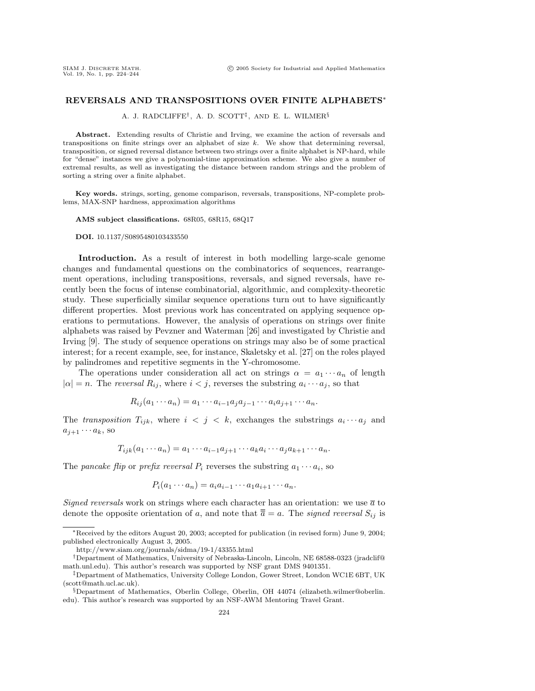## **REVERSALS AND TRANSPOSITIONS OVER FINITE ALPHABETS**∗

A. J. RADCLIFFE†, A. D. SCOTT‡, AND E. L. WILMER§

**Abstract.** Extending results of Christie and Irving, we examine the action of reversals and transpositions on finite strings over an alphabet of size  $k$ . We show that determining reversal, transposition, or signed reversal distance between two strings over a finite alphabet is NP-hard, while for "dense" instances we give a polynomial-time approximation scheme. We also give a number of extremal results, as well as investigating the distance between random strings and the problem of sorting a string over a finite alphabet.

**Key words.** strings, sorting, genome comparison, reversals, transpositions, NP-complete problems, MAX-SNP hardness, approximation algorithms

**AMS subject classifications.** 68R05, 68R15, 68Q17

**DOI.** 10.1137/S0895480103433550

**Introduction.** As a result of interest in both modelling large-scale genome changes and fundamental questions on the combinatorics of sequences, rearrangement operations, including transpositions, reversals, and signed reversals, have recently been the focus of intense combinatorial, algorithmic, and complexity-theoretic study. These superficially similar sequence operations turn out to have significantly different properties. Most previous work has concentrated on applying sequence operations to permutations. However, the analysis of operations on strings over finite alphabets was raised by Pevzner and Waterman [26] and investigated by Christie and Irving [9]. The study of sequence operations on strings may also be of some practical interest; for a recent example, see, for instance, Skaletsky et al. [27] on the roles played by palindromes and repetitive segments in the Y-chromosome.

The operations under consideration all act on strings  $\alpha = a_1 \cdots a_n$  of length  $|\alpha| = n$ . The *reversal*  $R_{ij}$ , where  $i < j$ , reverses the substring  $a_i \cdots a_j$ , so that

$$
R_{ij}(a_1\cdots a_n)=a_1\cdots a_{i-1}a_ja_{j-1}\cdots a_ia_{j+1}\cdots a_n.
$$

The transposition  $T_{ijk}$ , where  $i < j < k$ , exchanges the substrings  $a_i \cdots a_j$  and  $a_{j+1} \cdots a_k$ , so

$$
T_{ijk}(a_1\cdots a_n)=a_1\cdots a_{i-1}a_{j+1}\cdots a_ka_i\cdots a_j a_{k+1}\cdots a_n.
$$

The pancake flip or prefix reversal  $P_i$  reverses the substring  $a_1 \cdots a_i$ , so

$$
P_i(a_1\cdots a_n)=a_ia_{i-1}\cdots a_1a_{i+1}\cdots a_n.
$$

Signed reversals work on strings where each character has an orientation: we use  $\bar{a}$  to denote the opposite orientation of a, and note that  $\overline{\overline{a}} = a$ . The signed reversal  $S_{ij}$  is

http://www.siam.org/journals/sidma/19-1/43355.html

<sup>∗</sup>Received by the editors August 20, 2003; accepted for publication (in revised form) June 9, 2004; published electronically August 3, 2005.

<sup>†</sup>Department of Mathematics, University of Nebraska-Lincoln, Lincoln, NE 68588-0323 (jradclif@ math.unl.edu). This author's research was supported by NSF grant DMS 9401351.

<sup>‡</sup>Department of Mathematics, University College London, Gower Street, London WC1E 6BT, UK (scott@math.ucl.ac.uk).

<sup>§</sup>Department of Mathematics, Oberlin College, Oberlin, OH 44074 (elizabeth.wilmer@oberlin. edu). This author's research was supported by an NSF-AWM Mentoring Travel Grant.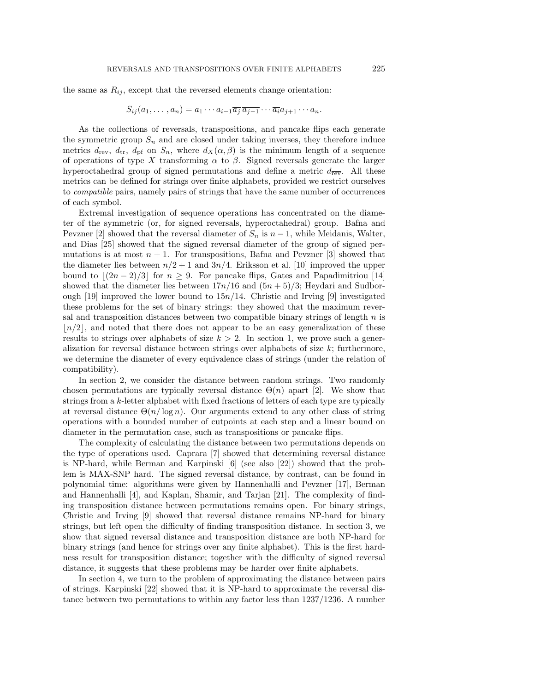$$
S_{ij}(a_1,\ldots,a_n)=a_1\cdots a_{i-1}\overline{a_j}\,\overline{a_{j-1}}\cdots\overline{a_i}a_{j+1}\cdots a_n.
$$

As the collections of reversals, transpositions, and pancake flips each generate the symmetric group  $S_n$  and are closed under taking inverses, they therefore induce metrics  $d_{\text{rev}}$ ,  $d_{\text{tr}}$ ,  $d_{\text{pf}}$  on  $S_n$ , where  $d_X(\alpha, \beta)$  is the minimum length of a sequence of operations of type X transforming  $\alpha$  to  $\beta$ . Signed reversals generate the larger hyperoctahedral group of signed permutations and define a metric  $d_{\overline{rev}}$ . All these metrics can be defined for strings over finite alphabets, provided we restrict ourselves to compatible pairs, namely pairs of strings that have the same number of occurrences of each symbol.

Extremal investigation of sequence operations has concentrated on the diameter of the symmetric (or, for signed reversals, hyperoctahedral) group. Bafna and Pevzner [2] showed that the reversal diameter of  $S_n$  is  $n-1$ , while Meidanis, Walter, and Dias [25] showed that the signed reversal diameter of the group of signed permutations is at most  $n + 1$ . For transpositions, Bafna and Pevzner [3] showed that the diameter lies between  $n/2 + 1$  and  $3n/4$ . Eriksson et al. [10] improved the upper bound to  $\lfloor (2n-2)/3 \rfloor$  for  $n \geq 9$ . For pancake flips, Gates and Papadimitriou [14] showed that the diameter lies between  $17n/16$  and  $(5n + 5)/3$ ; Heydari and Sudborough  $[19]$  improved the lower bound to  $15n/14$ . Christie and Irving  $[9]$  investigated these problems for the set of binary strings: they showed that the maximum reversal and transposition distances between two compatible binary strings of length  $n$  is  $\lfloor n/2 \rfloor$ , and noted that there does not appear to be an easy generalization of these results to strings over alphabets of size  $k > 2$ . In section 1, we prove such a generalization for reversal distance between strings over alphabets of size  $k$ ; furthermore, we determine the diameter of every equivalence class of strings (under the relation of compatibility).

In section 2, we consider the distance between random strings. Two randomly chosen permutations are typically reversal distance  $\Theta(n)$  apart [2]. We show that strings from a k-letter alphabet with fixed fractions of letters of each type are typically at reversal distance  $\Theta(n/\log n)$ . Our arguments extend to any other class of string operations with a bounded number of cutpoints at each step and a linear bound on diameter in the permutation case, such as transpositions or pancake flips.

The complexity of calculating the distance between two permutations depends on the type of operations used. Caprara [7] showed that determining reversal distance is NP-hard, while Berman and Karpinski [6] (see also [22]) showed that the problem is MAX-SNP hard. The signed reversal distance, by contrast, can be found in polynomial time: algorithms were given by Hannenhalli and Pevzner [17], Berman and Hannenhalli [4], and Kaplan, Shamir, and Tarjan [21]. The complexity of finding transposition distance between permutations remains open. For binary strings, Christie and Irving [9] showed that reversal distance remains NP-hard for binary strings, but left open the difficulty of finding transposition distance. In section 3, we show that signed reversal distance and transposition distance are both NP-hard for binary strings (and hence for strings over any finite alphabet). This is the first hardness result for transposition distance; together with the difficulty of signed reversal distance, it suggests that these problems may be harder over finite alphabets.

In section 4, we turn to the problem of approximating the distance between pairs of strings. Karpinski [22] showed that it is NP-hard to approximate the reversal distance between two permutations to within any factor less than 1237/1236. A number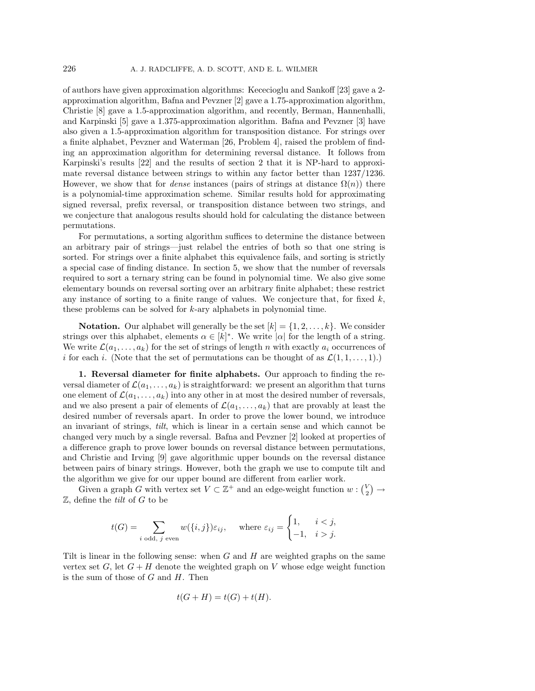of authors have given approximation algorithms: Kececioglu and Sankoff [23] gave a 2 approximation algorithm, Bafna and Pevzner [2] gave a 1.75-approximation algorithm, Christie [8] gave a 1.5-approximation algorithm, and recently, Berman, Hannenhalli, and Karpinski [5] gave a 1.375-approximation algorithm. Bafna and Pevzner [3] have also given a 1.5-approximation algorithm for transposition distance. For strings over a finite alphabet, Pevzner and Waterman [26, Problem 4], raised the problem of finding an approximation algorithm for determining reversal distance. It follows from Karpinski's results [22] and the results of section 2 that it is NP-hard to approximate reversal distance between strings to within any factor better than 1237/1236. However, we show that for *dense* instances (pairs of strings at distance  $\Omega(n)$ ) there is a polynomial-time approximation scheme. Similar results hold for approximating signed reversal, prefix reversal, or transposition distance between two strings, and we conjecture that analogous results should hold for calculating the distance between permutations.

For permutations, a sorting algorithm suffices to determine the distance between an arbitrary pair of strings—just relabel the entries of both so that one string is sorted. For strings over a finite alphabet this equivalence fails, and sorting is strictly a special case of finding distance. In section 5, we show that the number of reversals required to sort a ternary string can be found in polynomial time. We also give some elementary bounds on reversal sorting over an arbitrary finite alphabet; these restrict any instance of sorting to a finite range of values. We conjecture that, for fixed  $k$ , these problems can be solved for  $k$ -ary alphabets in polynomial time.

**Notation.** Our alphabet will generally be the set  $[k] = \{1, 2, \ldots, k\}$ . We consider strings over this alphabet, elements  $\alpha \in [k]^*$ . We write  $|\alpha|$  for the length of a string. We write  $\mathcal{L}(a_1,\ldots,a_k)$  for the set of strings of length n with exactly  $a_i$  occurrences of i for each i. (Note that the set of permutations can be thought of as  $\mathcal{L}(1, 1, \ldots, 1)$ .)

**1. Reversal diameter for finite alphabets.** Our approach to finding the reversal diameter of  $\mathcal{L}(a_1,\ldots,a_k)$  is straightforward: we present an algorithm that turns one element of  $\mathcal{L}(a_1,\ldots,a_k)$  into any other in at most the desired number of reversals, and we also present a pair of elements of  $\mathcal{L}(a_1,\ldots,a_k)$  that are provably at least the desired number of reversals apart. In order to prove the lower bound, we introduce an invariant of strings, tilt, which is linear in a certain sense and which cannot be changed very much by a single reversal. Bafna and Pevzner [2] looked at properties of a difference graph to prove lower bounds on reversal distance between permutations, and Christie and Irving [9] gave algorithmic upper bounds on the reversal distance between pairs of binary strings. However, both the graph we use to compute tilt and the algorithm we give for our upper bound are different from earlier work.

Given a graph G with vertex set  $V \subset \mathbb{Z}^+$  and an edge-weight function  $w : \binom{V}{2} \to$  $\mathbb Z$ , define the *tilt* of G to be

$$
t(G) = \sum_{i \text{ odd, } j \text{ even}} w(\{i, j\}) \varepsilon_{ij}, \quad \text{where } \varepsilon_{ij} = \begin{cases} 1, & i < j, \\ -1, & i > j. \end{cases}
$$

Tilt is linear in the following sense: when  $G$  and  $H$  are weighted graphs on the same vertex set  $G$ , let  $G + H$  denote the weighted graph on V whose edge weight function is the sum of those of  $G$  and  $H$ . Then

$$
t(G+H) = t(G) + t(H).
$$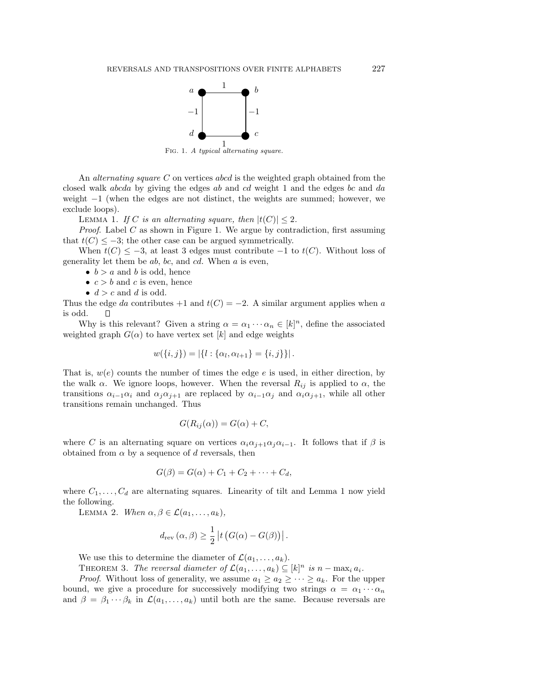

An *alternating square C* on vertices abcd is the weighted graph obtained from the closed walk abcda by giving the edges ab and cd weight 1 and the edges bc and da weight −1 (when the edges are not distinct, the weights are summed; however, we exclude loops).

LEMMA 1. If C is an alternating square, then  $|t(C)| \leq 2$ .

*Proof.* Label  $C$  as shown in Figure 1. We argue by contradiction, first assuming that  $t(C) \leq -3$ ; the other case can be argued symmetrically.

When  $t(C) \leq -3$ , at least 3 edges must contribute  $-1$  to  $t(C)$ . Without loss of generality let them be  $ab$ ,  $bc$ , and  $cd$ . When  $a$  is even,

•  $b > a$  and b is odd, hence

•  $c > b$  and c is even, hence

•  $d > c$  and d is odd.

Thus the edge da contributes +1 and  $t(C) = -2$ . A similar argument applies when a is odd. П

Why is this relevant? Given a string  $\alpha = \alpha_1 \cdots \alpha_n \in [k]^n$ , define the associated weighted graph  $G(\alpha)$  to have vertex set [k] and edge weights

$$
w({i,j}) = |\{l : {\alpha_l, \alpha_{l+1}} = {i,j}\}|.
$$

That is,  $w(e)$  counts the number of times the edge e is used, in either direction, by the walk  $\alpha$ . We ignore loops, however. When the reversal  $R_{ij}$  is applied to  $\alpha$ , the transitions  $\alpha_{i-1}\alpha_i$  and  $\alpha_j\alpha_{j+1}$  are replaced by  $\alpha_{i-1}\alpha_j$  and  $\alpha_i\alpha_{j+1}$ , while all other transitions remain unchanged. Thus

$$
G(R_{ij}(\alpha)) = G(\alpha) + C,
$$

where C is an alternating square on vertices  $\alpha_i \alpha_{i+1} \alpha_j \alpha_{i-1}$ . It follows that if  $\beta$  is obtained from  $\alpha$  by a sequence of d reversals, then

$$
G(\beta) = G(\alpha) + C_1 + C_2 + \cdots + C_d,
$$

where  $C_1, \ldots, C_d$  are alternating squares. Linearity of tilt and Lemma 1 now yield the following.

LEMMA 2. When  $\alpha, \beta \in \mathcal{L}(a_1, \ldots, a_k)$ ,

$$
d_{rev}(\alpha, \beta) \ge \frac{1}{2} |t (G(\alpha) - G(\beta))|.
$$

We use this to determine the diameter of  $\mathcal{L}(a_1,\ldots,a_k)$ .

THEOREM 3. The reversal diameter of  $\mathcal{L}(a_1,\ldots,a_k) \subseteq [k]^n$  is  $n - \max_i a_i$ .

*Proof.* Without loss of generality, we assume  $a_1 \geq a_2 \geq \cdots \geq a_k$ . For the upper bound, we give a procedure for successively modifying two strings  $\alpha = \alpha_1 \cdots \alpha_n$ and  $\beta = \beta_1 \cdots \beta_k$  in  $\mathcal{L}(a_1,\ldots,a_k)$  until both are the same. Because reversals are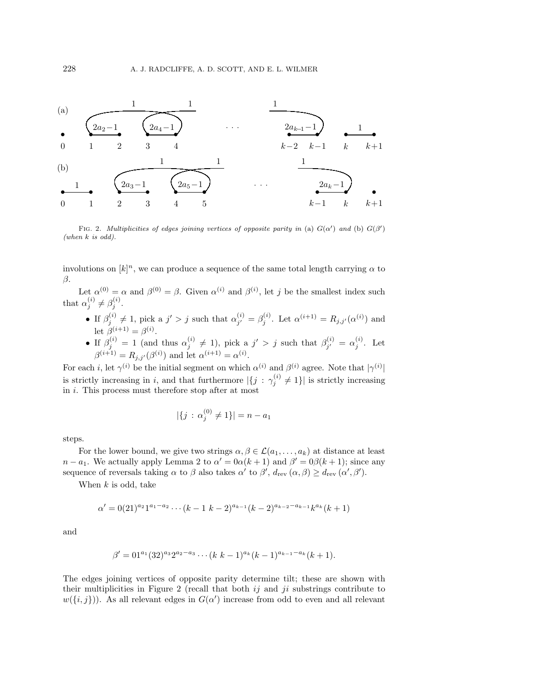

FIG. 2. Multiplicities of edges joining vertices of opposite parity in (a)  $G(\alpha')$  and (b)  $G(\beta')$ (when  $k$  is odd).

involutions on  $[k]^n$ , we can produce a sequence of the same total length carrying  $\alpha$  to  $\beta$ .

Let  $\alpha^{(0)} = \alpha$  and  $\beta^{(0)} = \beta$ . Given  $\alpha^{(i)}$  and  $\beta^{(i)}$ , let j be the smallest index such that  $\alpha_j^{(i)} \neq \beta_j^{(i)}$ .

- If  $\beta_j^{(i)} \neq 1$ , pick a  $j' > j$  such that  $\alpha_{j'}^{(i)} = \beta_j^{(i)}$ . Let  $\alpha^{(i+1)} = R_{j,j'}(\alpha^{(i)})$  and let  $\beta^{(i+1)} = \beta^{(i)}$ .
- If  $\beta_j^{(i)} = 1$  (and thus  $\alpha_j^{(i)} \neq 1$ ), pick a  $j' > j$  such that  $\beta_{j'}^{(i)} = \alpha_j^{(i)}$ . Let  $\beta^{(i+1)} = R_{j,j'}(\beta^{(i)})$  and let  $\alpha^{(i+1)} = \alpha^{(i)}$ .

For each *i*, let  $\gamma^{(i)}$  be the initial segment on which  $\alpha^{(i)}$  and  $\beta^{(i)}$  agree. Note that  $|\gamma^{(i)}|$ is strictly increasing in i, and that furthermore  $|\{j : \gamma_j^{(i)} \neq 1\}|$  is strictly increasing in  $i$ . This process must therefore stop after at most

$$
|\{j \,:\, \alpha_j^{(0)} \neq 1\}| = n - a_1
$$

steps.

For the lower bound, we give two strings  $\alpha, \beta \in \mathcal{L}(a_1,\ldots,a_k)$  at distance at least  $n - a_1$ . We actually apply Lemma 2 to  $\alpha' = 0\alpha(k+1)$  and  $\beta' = 0\beta(k+1)$ ; since any sequence of reversals taking  $\alpha$  to  $\beta$  also takes  $\alpha'$  to  $\beta', d_{rev}(\alpha, \beta) \ge d_{rev}(\alpha', \beta').$ 

When  $k$  is odd, take

$$
\alpha' = 0(21)^{a_2} 1^{a_1 - a_2} \cdots (k-1 \ k-2)^{a_{k-1}} (k-2)^{a_{k-2} - a_{k-1}} k^{a_k} (k+1)
$$

and

$$
\beta' = 01^{a_1} (32)^{a_3} 2^{a_2 - a_3} \cdots (k k - 1)^{a_k} (k - 1)^{a_{k-1} - a_k} (k + 1).
$$

The edges joining vertices of opposite parity determine tilt; these are shown with their multiplicities in Figure 2 (recall that both  $ij$  and  $ji$  substrings contribute to  $w(\lbrace i,j \rbrace)$ . As all relevant edges in  $G(\alpha')$  increase from odd to even and all relevant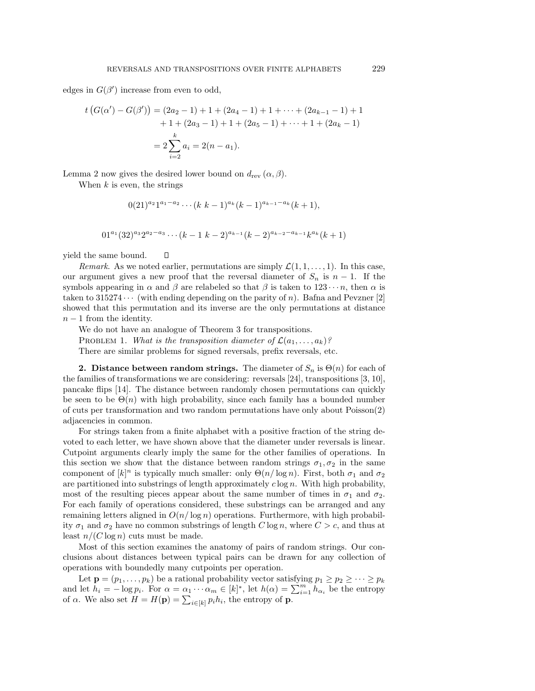edges in  $G(\beta')$  increase from even to odd,

$$
t(G(\alpha') - G(\beta')) = (2a_2 - 1) + 1 + (2a_4 - 1) + 1 + \dots + (2a_{k-1} - 1) + 1
$$

$$
+ 1 + (2a_3 - 1) + 1 + (2a_5 - 1) + \dots + 1 + (2a_k - 1)
$$

$$
= 2\sum_{i=2}^k a_i = 2(n - a_1).
$$

Lemma 2 now gives the desired lower bound on  $d_{rev}(\alpha, \beta)$ .

Π

When  $k$  is even, the strings

$$
0(21)^{a_2}1^{a_1-a_2}\cdots (k k-1)^{a_k}(k-1)^{a_{k-1}-a_k}(k+1),
$$

$$
01^{a_1}(32)^{a_3}2^{a_2-a_3}\cdots (k-1 k-2)^{a_{k-1}}(k-2)^{a_{k-2}-a_{k-1}}k^{a_k}(k+1)
$$

yield the same bound.

Remark. As we noted earlier, permutations are simply  $\mathcal{L}(1, 1, \ldots, 1)$ . In this case, our argument gives a new proof that the reversal diameter of  $S_n$  is  $n-1$ . If the symbols appearing in  $\alpha$  and  $\beta$  are relabeled so that  $\beta$  is taken to  $123 \cdots n$ , then  $\alpha$  is taken to 315274  $\cdots$  (with ending depending on the parity of n). Bafna and Pevzner [2] showed that this permutation and its inverse are the only permutations at distance  $n-1$  from the identity.

We do not have an analogue of Theorem 3 for transpositions. PROBLEM 1. What is the transposition diameter of  $\mathcal{L}(a_1,\ldots,a_k)$ ? There are similar problems for signed reversals, prefix reversals, etc.

**2. Distance between random strings.** The diameter of  $S_n$  is  $\Theta(n)$  for each of the families of transformations we are considering: reversals [24], transpositions [3, 10], pancake flips [14]. The distance between randomly chosen permutations can quickly be seen to be  $\Theta(n)$  with high probability, since each family has a bounded number of cuts per transformation and two random permutations have only about Poisson(2) adjacencies in common.

For strings taken from a finite alphabet with a positive fraction of the string devoted to each letter, we have shown above that the diameter under reversals is linear. Cutpoint arguments clearly imply the same for the other families of operations. In this section we show that the distance between random strings  $\sigma_1, \sigma_2$  in the same component of  $[k]^n$  is typically much smaller: only  $\Theta(n/\log n)$ . First, both  $\sigma_1$  and  $\sigma_2$ are partitioned into substrings of length approximately  $c \log n$ . With high probability, most of the resulting pieces appear about the same number of times in  $\sigma_1$  and  $\sigma_2$ . For each family of operations considered, these substrings can be arranged and any remaining letters aligned in  $O(n/\log n)$  operations. Furthermore, with high probability  $\sigma_1$  and  $\sigma_2$  have no common substrings of length C log n, where  $C>c$ , and thus at least  $n/(C \log n)$  cuts must be made.

Most of this section examines the anatomy of pairs of random strings. Our conclusions about distances between typical pairs can be drawn for any collection of operations with boundedly many cutpoints per operation.

Let  $\mathbf{p} = (p_1, \ldots, p_k)$  be a rational probability vector satisfying  $p_1 \geq p_2 \geq \cdots \geq p_k$ and let  $h_i = -\log p_i$ . For  $\alpha = \alpha_1 \cdots \alpha_m \in [k]^*$ , let  $h(\alpha) = \sum_{i=1}^m h_{\alpha_i}$  be the entropy of  $\alpha$ . We also set  $H = H(\mathbf{p}) = \sum_{i \in [k]} p_i h_i$ , the entropy of **p**.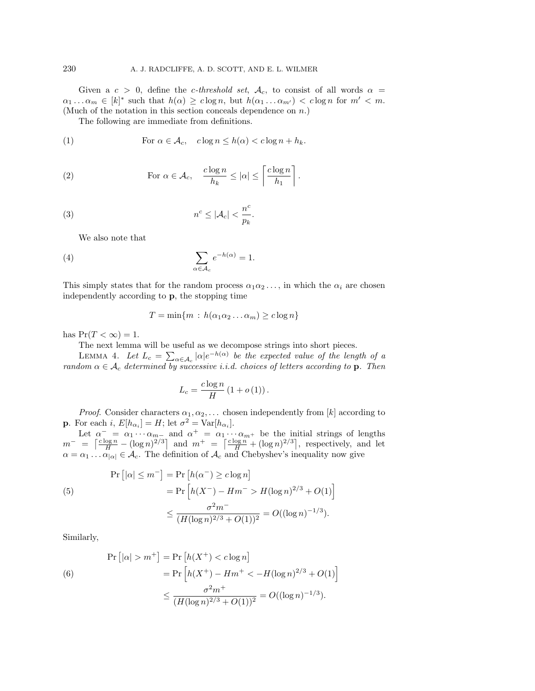Given a  $c > 0$ , define the *c*-threshold set,  $A_c$ , to consist of all words  $\alpha =$  $\alpha_1 \ldots \alpha_m \in [k]^*$  such that  $h(\alpha) \geq c \log n$ , but  $h(\alpha_1 \ldots \alpha_{m'}) < c \log n$  for  $m' < m$ . (Much of the notation in this section conceals dependence on n.)

The following are immediate from definitions.

(1) For 
$$
\alpha \in \mathcal{A}_c
$$
,  $c \log n \le h(\alpha) < c \log n + h_k$ .

(2) For 
$$
\alpha \in \mathcal{A}_c
$$
,  $\frac{c \log n}{h_k} \leq |\alpha| \leq \left\lceil \frac{c \log n}{h_1} \right\rceil$ .

(3) 
$$
n^c \leq |\mathcal{A}_c| < \frac{n^c}{p_k}.
$$

We also note that

(4) 
$$
\sum_{\alpha \in A_c} e^{-h(\alpha)} = 1.
$$

This simply states that for the random process  $\alpha_1 \alpha_2 \ldots$ , in which the  $\alpha_i$  are chosen independently according to **p**, the stopping time

$$
T = \min\{m : h(\alpha_1\alpha_2\ldots\alpha_m) \ge c \log n\}
$$

has  $Pr(T < \infty) = 1$ .

The next lemma will be useful as we decompose strings into short pieces.

LEMMA 4. Let  $L_c = \sum_{\alpha \in A_c} |\alpha| e^{-h(\alpha)}$  be the expected value of the length of a random  $\alpha \in A_c$  determined by successive i.i.d. choices of letters according to **p**. Then

$$
L_c = \frac{c \log n}{H} \left( 1 + o \left( 1 \right) \right).
$$

*Proof.* Consider characters  $\alpha_1, \alpha_2, \ldots$  chosen independently from [k] according to **p**. For each i,  $E[h_{\alpha_i}] = H$ ; let  $\sigma^2 = \text{Var}[h_{\alpha_i}]$ .

Let  $\alpha^- = \alpha_1 \cdots \alpha_{m-}$  and  $\alpha^+ = \alpha_1 \cdots \alpha_{m^+}$  be the initial strings of lengths  $m^- = \left\lceil \frac{c \log n}{H} - (\log n)^{2/3} \right\rceil$  and  $m^+ = \left\lceil \frac{c \log n}{H} + (\log n)^{2/3} \right\rceil$ , respectively, and let  $\alpha = \alpha_1 \dots \alpha_{|\alpha|} \in \mathcal{A}_c$ . The definition of  $\mathcal{A}_c$  and Chebyshev's inequality now give

(5)  
\n
$$
\Pr\left[|\alpha| \le m^{-}\right] = \Pr\left[h(\alpha^{-}) \ge c \log n\right]
$$
\n
$$
= \Pr\left[h(X^{-}) - Hm^{-} > H(\log n)^{2/3} + O(1)\right]
$$
\n
$$
\le \frac{\sigma^{2} m^{-}}{(H(\log n)^{2/3} + O(1))^{2}} = O((\log n)^{-1/3}).
$$

Similarly,

$$
\Pr\left[|\alpha| > m^+\right] = \Pr\left[h(X^+) < c\log n\right] \\
= \Pr\left[h(X^+) - Hm^+ < -H(\log n)^{2/3} + O(1)\right] \\
\leq \frac{\sigma^2 m^+}{(H(\log n)^{2/3} + O(1))^2} = O((\log n)^{-1/3}).
$$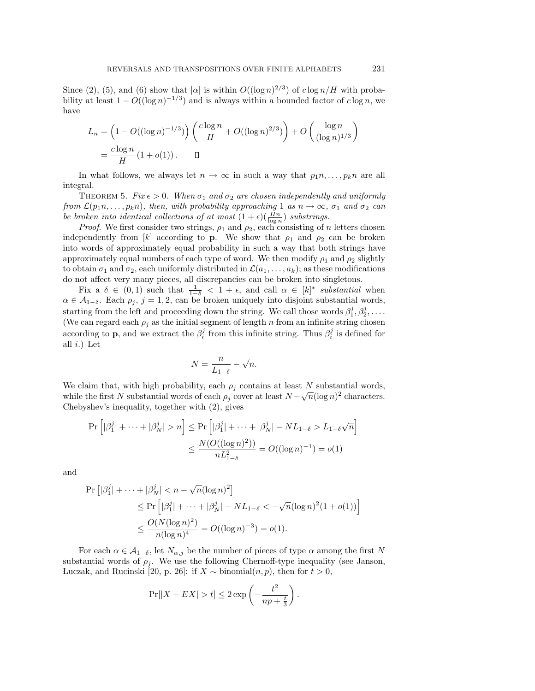Since (2), (5), and (6) show that  $|\alpha|$  is within  $O((\log n)^{2/3})$  of  $c \log n/H$  with probability at least  $1 - O((\log n)^{-1/3})$  and is always within a bounded factor of c log n, we have

$$
L_n = \left(1 - O((\log n)^{-1/3})\right) \left(\frac{c \log n}{H} + O((\log n)^{2/3})\right) + O\left(\frac{\log n}{(\log n)^{1/3}}\right)
$$
  
=  $\frac{c \log n}{H} (1 + o(1)).$ 

In what follows, we always let  $n \to \infty$  in such a way that  $p_1 n, \ldots, p_k n$  are all integral.

THEOREM 5. Fix  $\epsilon > 0$ . When  $\sigma_1$  and  $\sigma_2$  are chosen independently and uniformly from  $\mathcal{L}(p_1n, \ldots, p_kn)$ , then, with probability approaching 1 as  $n \to \infty$ ,  $\sigma_1$  and  $\sigma_2$  can be broken into identical collections of at most  $(1+\epsilon)(\frac{Hn}{\log n})$  substrings.

*Proof.* We first consider two strings,  $\rho_1$  and  $\rho_2$ , each consisting of n letters chosen independently from [k] according to **p**. We show that  $\rho_1$  and  $\rho_2$  can be broken into words of approximately equal probability in such a way that both strings have approximately equal numbers of each type of word. We then modify  $\rho_1$  and  $\rho_2$  slightly to obtain  $\sigma_1$  and  $\sigma_2$ , each uniformly distributed in  $\mathcal{L}(a_1,\ldots,a_k)$ ; as these modifications do not affect very many pieces, all discrepancies can be broken into singletons.

Fix a  $\delta \in (0,1)$  such that  $\frac{1}{1-\delta} < 1+\epsilon$ , and call  $\alpha \in [k]^*$  substantial when  $\alpha \in \mathcal{A}_{1-\delta}$ . Each  $\rho_j$ ,  $j=1,2$ , can be broken uniquely into disjoint substantial words, starting from the left and proceeding down the string. We call those words  $\beta_1^j, \beta_2^j, \ldots$ . (We can regard each  $\rho_j$  as the initial segment of length n from an infinite string chosen according to **p**, and we extract the  $\beta_i^j$  from this infinite string. Thus  $\beta_i^j$  is defined for all  $i.$ ) Let

$$
N = \frac{n}{L_{1-\delta}} - \sqrt{n}.
$$

We claim that, with high probability, each  $\rho_i$  contains at least N substantial words, while the first N substantial words of each  $\rho_j$  cover at least  $N - \sqrt{n}(\log n)^2$  characters. Chebyshev's inequality, together with (2), gives

$$
\Pr\left[|\beta_1^j| + \dots + |\beta_N^j| > n\right] \le \Pr\left[|\beta_1^j| + \dots + |\beta_N^j| - NL_{1-\delta} > L_{1-\delta}\sqrt{n}\right] \\
\le \frac{N(O((\log n)^2))}{nL_{1-\delta}^2} = O((\log n)^{-1}) = o(1)
$$

and

$$
\begin{aligned} \Pr\left[|\beta_1^j| + \dots + |\beta_N^j| < n - \sqrt{n}(\log n)^2\right] \\ &\leq \Pr\left[|\beta_1^j| + \dots + |\beta_N^j| - NL_{1-\delta} < -\sqrt{n}(\log n)^2(1+o(1))\right] \\ &\leq \frac{O(N(\log n)^2)}{n(\log n)^4} = O((\log n)^{-3}) = o(1). \end{aligned}
$$

For each  $\alpha \in A_{1-\delta}$ , let  $N_{\alpha,j}$  be the number of pieces of type  $\alpha$  among the first N substantial words of  $\rho_j$ . We use the following Chernoff-type inequality (see Janson, Luczak, and Rucinski [20, p. 26]: if  $X \sim \text{binomial}(n, p)$ , then for  $t > 0$ ,

$$
\Pr[|X - EX| > t] \le 2 \exp\left(-\frac{t^2}{np + \frac{t}{3}}\right).
$$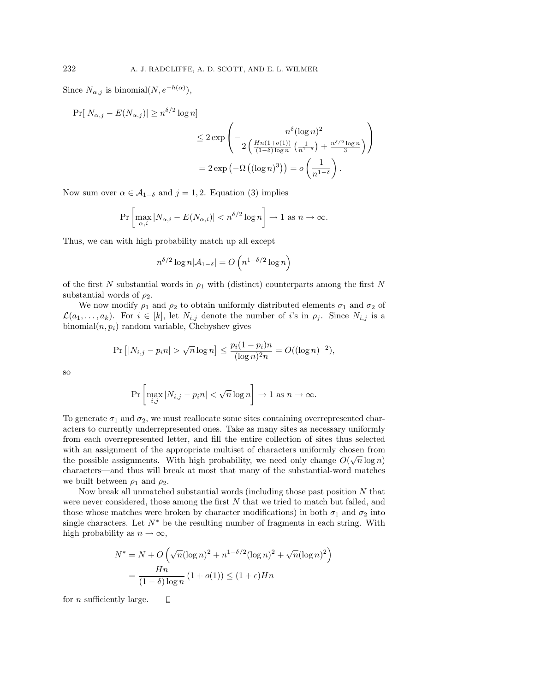Since  $N_{\alpha,j}$  is binomial $(N, e^{-h(\alpha)})$ ,

 $Pr[|N_{\alpha,i} - E(N_{\alpha,i})| > n^{\delta/2} \log n]$  $\leq 2 \exp$  $\left(-\frac{n^{\delta}(\log n)^2}{2\left(\frac{Hn(1+o(1))}{(1-\delta)\log n}\left(\frac{1}{n^{1-\delta}}\right)\right)}\right)$  $\frac{Hn(1+o(1))}{(1-\delta)\log n}\left(\frac{1}{n^{1-\delta}}\right) + \frac{n^{\delta/2}\log n}{3}$ ⎞  $\overline{I}$  $=2\exp\left(-\Omega\left((\log n)^3\right)\right)=o\left(-\frac{1}{15}\right)$  $n^{1-\delta}$  $\big)$  .

Now sum over  $\alpha \in \mathcal{A}_{1-\delta}$  and  $j=1,2$ . Equation (3) implies

$$
\Pr\left[\max_{\alpha,i}|N_{\alpha,i}-E(N_{\alpha,i})|
$$

Thus, we can with high probability match up all except

$$
n^{\delta/2} \log n |\mathcal{A}_{1-\delta}| = O\left(n^{1-\delta/2} \log n\right)
$$

of the first N substantial words in  $\rho_1$  with (distinct) counterparts among the first N substantial words of  $\rho_2$ .

We now modify  $\rho_1$  and  $\rho_2$  to obtain uniformly distributed elements  $\sigma_1$  and  $\sigma_2$  of  $\mathcal{L}(a_1,\ldots,a_k)$ . For  $i \in [k]$ , let  $N_{i,j}$  denote the number of i's in  $\rho_j$ . Since  $N_{i,j}$  is a binomial $(n, p_i)$  random variable, Chebyshev gives

$$
\Pr [ |N_{i,j} - p_i n| > \sqrt{n} \log n ] \le \frac{p_i (1 - p_i) n}{(\log n)^2 n} = O((\log n)^{-2}),
$$

so

$$
\Pr\left[\max_{i,j}|N_{i,j}-p_in|<\sqrt{n}\log n\right]\to 1 \text{ as } n\to\infty.
$$

To generate  $\sigma_1$  and  $\sigma_2$ , we must reallocate some sites containing overrepresented characters to currently underrepresented ones. Take as many sites as necessary uniformly from each overrepresented letter, and fill the entire collection of sites thus selected with an assignment of the appropriate multiset of characters uniformly chosen from with an assignment of the appropriate mutuset of characters unhormly chosen from<br>the possible assignments. With high probability, we need only change  $O(\sqrt{n}\log n)$ characters—and thus will break at most that many of the substantial-word matches we built between  $\rho_1$  and  $\rho_2$ .

Now break all unmatched substantial words (including those past position  $N$  that were never considered, those among the first N that we tried to match but failed, and those whose matches were broken by character modifications) in both  $\sigma_1$  and  $\sigma_2$  into single characters. Let  $N^*$  be the resulting number of fragments in each string. With high probability as  $n \to \infty$ ,

$$
N^* = N + O\left(\sqrt{n}(\log n)^2 + n^{1-\delta/2}(\log n)^2 + \sqrt{n}(\log n)^2\right)
$$

$$
= \frac{Hn}{(1-\delta)\log n} (1+o(1)) \le (1+\epsilon)Hn
$$

for n sufficiently large. $\Box$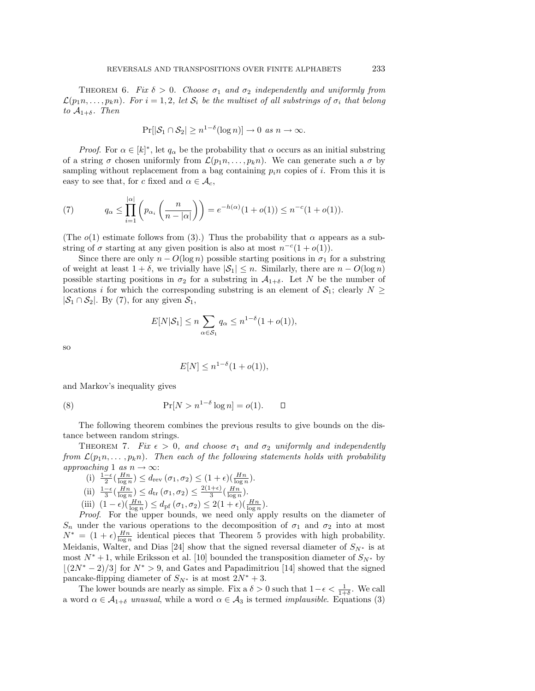THEOREM 6. Fix  $\delta > 0$ . Choose  $\sigma_1$  and  $\sigma_2$  independently and uniformly from  $\mathcal{L}(p_1n, \ldots, p_kn)$ . For  $i = 1, 2$ , let  $\mathcal{S}_i$  be the multiset of all substrings of  $\sigma_i$  that belong to  $A_{1+\delta}$ . Then

$$
\Pr[|\mathcal{S}_1 \cap \mathcal{S}_2| \ge n^{1-\delta}(\log n)] \to 0 \text{ as } n \to \infty.
$$

*Proof.* For  $\alpha \in [k]^*$ , let  $q_\alpha$  be the probability that  $\alpha$  occurs as an initial substring of a string  $\sigma$  chosen uniformly from  $\mathcal{L}(p_1n, \ldots, p_kn)$ . We can generate such a  $\sigma$  by sampling without replacement from a bag containing  $p_i n$  copies of i. From this it is easy to see that, for c fixed and  $\alpha \in \mathcal{A}_c$ ,

(7) 
$$
q_{\alpha} \leq \prod_{i=1}^{|\alpha|} \left( p_{\alpha_i} \left( \frac{n}{n-|\alpha|} \right) \right) = e^{-h(\alpha)} (1+o(1)) \leq n^{-c} (1+o(1)).
$$

(The  $o(1)$  estimate follows from (3).) Thus the probability that  $\alpha$  appears as a substring of  $\sigma$  starting at any given position is also at most  $n^{-c}(1 + o(1))$ .

Since there are only  $n - O(\log n)$  possible starting positions in  $\sigma_1$  for a substring of weight at least  $1 + \delta$ , we trivially have  $|\mathcal{S}_1| \leq n$ . Similarly, there are  $n - O(\log n)$ possible starting positions in  $\sigma_2$  for a substring in  $\mathcal{A}_{1+\delta}$ . Let N be the number of locations i for which the corresponding substring is an element of  $S_1$ ; clearly  $N \geq$  $|\mathcal{S}_1 \cap \mathcal{S}_2|$ . By (7), for any given  $\mathcal{S}_1$ ,

$$
E[N|\mathcal{S}_1] \le n \sum_{\alpha \in \mathcal{S}_1} q_\alpha \le n^{1-\delta} (1 + o(1)),
$$

so

$$
E[N] \le n^{1-\delta}(1 + o(1)),
$$

and Markov's inequality gives

(8) 
$$
\Pr[N > n^{1-\delta} \log n] = o(1). \qquad \Box
$$

The following theorem combines the previous results to give bounds on the distance between random strings.

THEOREM 7. Fix  $\epsilon > 0$ , and choose  $\sigma_1$  and  $\sigma_2$  uniformly and independently from  $\mathcal{L}(p_1n, \ldots, p_kn)$ . Then each of the following statements holds with probability approaching 1 as  $n \to \infty$ :

- (i)  $\frac{1-\epsilon}{2}(\frac{Hn}{\log n}) \leq d_{\text{rev}}(\sigma_1, \sigma_2) \leq (1+\epsilon)(\frac{Hn}{\log n}).$
- (ii)  $\frac{1-\epsilon}{3}(\frac{Hn}{\log n}) \leq d_{\text{tr}}(\sigma_1, \sigma_2) \leq \frac{2(1+\epsilon)}{3}(\frac{Hn}{\log n}).$
- (iii)  $(1 \epsilon)(\frac{Hn}{\log n}) \leq d_{\text{pf}}(\sigma_1, \sigma_2) \leq 2(1 + \epsilon)(\frac{Hn}{\log n}).$

Proof. For the upper bounds, we need only apply results on the diameter of  $S_n$  under the various operations to the decomposition of  $\sigma_1$  and  $\sigma_2$  into at most  $N^* = (1 + \epsilon) \frac{Hn}{\log n}$  identical pieces that Theorem 5 provides with high probability. Meidanis, Walter, and Dias [24] show that the signed reversal diameter of  $S_{N^*}$  is at most  $N^* + 1$ , while Eriksson et al. [10] bounded the transposition diameter of  $S_{N^*}$  by  $\lfloor (2N^* - 2)/3 \rfloor$  for  $N^* > 9$ , and Gates and Papadimitriou [14] showed that the signed pancake-flipping diameter of  $S_{N^*}$  is at most  $2N^* + 3$ .

The lower bounds are nearly as simple. Fix a  $\delta > 0$  such that  $1 - \epsilon < \frac{1}{1 + \delta}$ . We call a word  $\alpha \in A_{1+\delta}$  unusual, while a word  $\alpha \in A_3$  is termed *implausible*. Equations (3)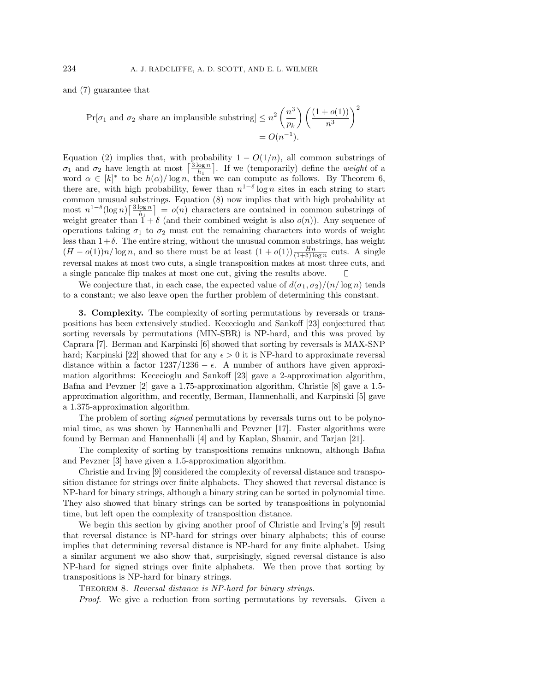and (7) guarantee that

$$
\Pr[\sigma_1 \text{ and } \sigma_2 \text{ share an implausible substring}] \le n^2 \left(\frac{n^3}{p_k}\right) \left(\frac{(1+o(1))}{n^3}\right)^2
$$

$$
= O(n^{-1}).
$$

Equation (2) implies that, with probability  $1 - O(1/n)$ , all common substrings of  $\sigma_1$  and  $\sigma_2$  have length at most  $\left\lceil \frac{3\log n}{h_1} \right\rceil$ . If we (temporarily) define the *weight* of a word  $\alpha \in [k]^*$  to be  $h(\alpha)/\log n$ , then we can compute as follows. By Theorem 6, there are, with high probability, fewer than  $n^{1-\delta} \log n$  sites in each string to start common unusual substrings. Equation (8) now implies that with high probability at most  $n^{1-\delta}(\log n)\left\lceil \frac{3\log n}{h_1} \right\rceil = o(n)$  characters are contained in common substrings of weight greater than  $1 + \delta$  (and their combined weight is also  $o(n)$ ). Any sequence of operations taking  $\sigma_1$  to  $\sigma_2$  must cut the remaining characters into words of weight less than  $1+\delta$ . The entire string, without the unusual common substrings, has weight  $(H - o(1))n/\log n$ , and so there must be at least  $(1 + o(1))\frac{Hn}{(1 + \delta)\log n}$  cuts. A single reversal makes at most two cuts, a single transposition makes at most three cuts, and a single pancake flip makes at most one cut, giving the results above.

We conjecture that, in each case, the expected value of  $d(\sigma_1, \sigma_2)/(n/\log n)$  tends to a constant; we also leave open the further problem of determining this constant.

**3. Complexity.** The complexity of sorting permutations by reversals or transpositions has been extensively studied. Kececioglu and Sankoff [23] conjectured that sorting reversals by permutations (MIN-SBR) is NP-hard, and this was proved by Caprara [7]. Berman and Karpinski [6] showed that sorting by reversals is MAX-SNP hard; Karpinski [22] showed that for any  $\epsilon > 0$  it is NP-hard to approximate reversal distance within a factor  $1237/1236 - \epsilon$ . A number of authors have given approximation algorithms: Kececioglu and Sankoff [23] gave a 2-approximation algorithm, Bafna and Pevzner [2] gave a 1.75-approximation algorithm, Christie [8] gave a 1.5 approximation algorithm, and recently, Berman, Hannenhalli, and Karpinski [5] gave a 1.375-approximation algorithm.

The problem of sorting *signed* permutations by reversals turns out to be polynomial time, as was shown by Hannenhalli and Pevzner [17]. Faster algorithms were found by Berman and Hannenhalli [4] and by Kaplan, Shamir, and Tarjan [21].

The complexity of sorting by transpositions remains unknown, although Bafna and Pevzner [3] have given a 1.5-approximation algorithm.

Christie and Irving [9] considered the complexity of reversal distance and transposition distance for strings over finite alphabets. They showed that reversal distance is NP-hard for binary strings, although a binary string can be sorted in polynomial time. They also showed that binary strings can be sorted by transpositions in polynomial time, but left open the complexity of transposition distance.

We begin this section by giving another proof of Christie and Irving's [9] result that reversal distance is NP-hard for strings over binary alphabets; this of course implies that determining reversal distance is NP-hard for any finite alphabet. Using a similar argument we also show that, surprisingly, signed reversal distance is also NP-hard for signed strings over finite alphabets. We then prove that sorting by transpositions is NP-hard for binary strings.

THEOREM 8. Reversal distance is NP-hard for binary strings.

Proof. We give a reduction from sorting permutations by reversals. Given a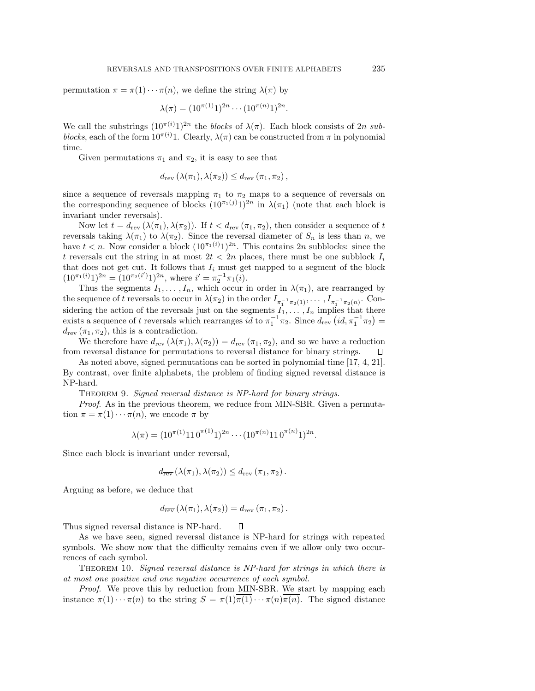permutation  $\pi = \pi(1) \cdots \pi(n)$ , we define the string  $\lambda(\pi)$  by

$$
\lambda(\pi) = (10^{\pi(1)}1)^{2n} \cdots (10^{\pi(n)}1)^{2n}.
$$

We call the substrings  $(10^{\pi(i)}1)^{2n}$  the blocks of  $\lambda(\pi)$ . Each block consists of  $2n$  subblocks, each of the form  $10^{\pi(i)}1$ . Clearly,  $\lambda(\pi)$  can be constructed from  $\pi$  in polynomial time.

Given permutations  $\pi_1$  and  $\pi_2$ , it is easy to see that

$$
d_{\text{rev}}\left(\lambda(\pi_1), \lambda(\pi_2)\right) \leq d_{\text{rev}}\left(\pi_1, \pi_2\right),
$$

since a sequence of reversals mapping  $\pi_1$  to  $\pi_2$  maps to a sequence of reversals on the corresponding sequence of blocks  $(10^{\pi_1(j)}1)^{2n}$  in  $\lambda(\pi_1)$  (note that each block is invariant under reversals).

Now let  $t = d_{\text{rev}}(\lambda(\pi_1), \lambda(\pi_2))$ . If  $t < d_{\text{rev}}(\pi_1, \pi_2)$ , then consider a sequence of t reversals taking  $\lambda(\pi_1)$  to  $\lambda(\pi_2)$ . Since the reversal diameter of  $S_n$  is less than n, we have  $t < n$ . Now consider a block  $(10^{\pi_1(i)}1)^{2n}$ . This contains  $2n$  subblocks: since the t reversals cut the string in at most  $2t < 2n$  places, there must be one subblock  $I_i$ that does not get cut. It follows that  $I_i$  must get mapped to a segment of the block  $(10^{\pi_1(i)}1)^{2n} = (10^{\pi_2(i')}\,1)^{2n}$ , where  $i' = \pi_2^{-1}\pi_1(i)$ .

Thus the segments  $I_1, \ldots, I_n$ , which occur in order in  $\lambda(\pi_1)$ , are rearranged by the sequence of t reversals to occur in  $\lambda(\pi_2)$  in the order  $I_{\pi_1^{-1}\pi_2(1)},\ldots,I_{\pi_1^{-1}\pi_2(n)}$ . Considering the action of the reversals just on the segments  $I_1, \ldots, I_n$  implies that there exists a sequence of t reversals which rearranges  $id$  to  $\pi_1^{-1}\pi_2$ . Since  $d_{\text{rev}}(id, \pi_1^{-1}\pi_2)$  $d_{\text{rev}}(\pi_1, \pi_2)$ , this is a contradiction.

We therefore have  $d_{rev}(\lambda(\pi_1), \lambda(\pi_2)) = d_{rev}(\pi_1, \pi_2)$ , and so we have a reduction from reversal distance for permutations to reversal distance for binary strings. □

As noted above, signed permutations can be sorted in polynomial time [17, 4, 21]. By contrast, over finite alphabets, the problem of finding signed reversal distance is NP-hard.

THEOREM 9. Signed reversal distance is NP-hard for binary strings.

Proof. As in the previous theorem, we reduce from MIN-SBR. Given a permutation  $\pi = \pi(1) \cdots \pi(n)$ , we encode  $\pi$  by

$$
\lambda(\pi) = (10^{\pi(1)}1\overline{1}\,\overline{0}^{\pi(1)}\overline{1})^{2n} \cdots (10^{\pi(n)}1\overline{1}\,\overline{0}^{\pi(n)}\overline{1})^{2n}.
$$

Since each block is invariant under reversal,

$$
d_{\overline{\text{rev}}}\left(\lambda(\pi_1),\lambda(\pi_2)\right) \leq d_{\text{rev}}\left(\pi_1,\pi_2\right).
$$

Arguing as before, we deduce that

$$
d_{\overline{\text{rev}}}\left(\lambda(\pi_1), \lambda(\pi_2)\right) = d_{\text{rev}}\left(\pi_1, \pi_2\right).
$$

Thus signed reversal distance is NP-hard.  $\Box$ 

As we have seen, signed reversal distance is NP-hard for strings with repeated symbols. We show now that the difficulty remains even if we allow only two occurrences of each symbol.

Theorem 10. Signed reversal distance is NP-hard for strings in which there is at most one positive and one negative occurrence of each symbol.

Proof. We prove this by reduction from MIN-SBR. We start by mapping each instance  $\pi(1)\cdots\pi(n)$  to the string  $S = \pi(1)\overline{\pi(1)}\cdots\pi(n)\overline{\pi(n)}$ . The signed distance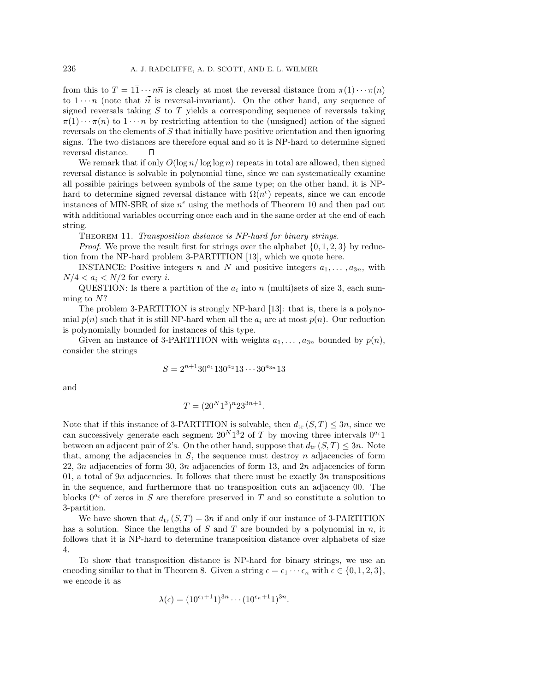from this to  $T = 1\overline{1} \cdots n\overline{n}$  is clearly at most the reversal distance from  $\pi(1) \cdots \pi(n)$ to  $1 \cdots n$  (note that  $i\overline{i}$  is reversal-invariant). On the other hand, any sequence of signed reversals taking  $S$  to  $T$  yields a corresponding sequence of reversals taking  $\pi(1)\cdots\pi(n)$  to  $1\cdots n$  by restricting attention to the (unsigned) action of the signed reversals on the elements of S that initially have positive orientation and then ignoring signs. The two distances are therefore equal and so it is NP-hard to determine signed reversal distance.  $\Box$ 

We remark that if only  $O(\log n/\log \log n)$  repeats in total are allowed, then signed reversal distance is solvable in polynomial time, since we can systematically examine all possible pairings between symbols of the same type; on the other hand, it is NPhard to determine signed reversal distance with  $\Omega(n^{\epsilon})$  repeats, since we can encode instances of MIN-SBR of size  $n^{\epsilon}$  using the methods of Theorem 10 and then pad out with additional variables occurring once each and in the same order at the end of each string.

THEOREM 11. Transposition distance is NP-hard for binary strings.

*Proof.* We prove the result first for strings over the alphabet  $\{0, 1, 2, 3\}$  by reduction from the NP-hard problem 3-PARTITION [13], which we quote here.

INSTANCE: Positive integers n and N and positive integers  $a_1, \ldots, a_{3n}$ , with  $N/4 < a_i < N/2$  for every *i*.

QUESTION: Is there a partition of the  $a_i$  into n (multi)sets of size 3, each summing to N?

The problem 3-PARTITION is strongly NP-hard [13]: that is, there is a polynomial  $p(n)$  such that it is still NP-hard when all the  $a_i$  are at most  $p(n)$ . Our reduction is polynomially bounded for instances of this type.

Given an instance of 3-PARTITION with weights  $a_1, \ldots, a_{3n}$  bounded by  $p(n)$ , consider the strings

$$
S = 2^{n+1} 30^{a_1} 130^{a_2} 13 \cdots 30^{a_{3n}} 13
$$

and

$$
T = (20^N 1^3)^n 23^{3n+1}.
$$

Note that if this instance of 3-PARTITION is solvable, then  $d_{tr} (S, T) \leq 3n$ , since we can successively generate each segment  $20<sup>N</sup>1<sup>3</sup>2$  of T by moving three intervals  $0<sup>a<sub>i</sub></sup>1$ between an adjacent pair of 2's. On the other hand, suppose that  $d_{tr} (S, T) \leq 3n$ . Note that, among the adjacencies in  $S$ , the sequence must destroy  $n$  adjacencies of form 22, 3n adjacencies of form 30, 3n adjacencies of form 13, and 2n adjacencies of form 01, a total of 9n adjacencies. It follows that there must be exactly  $3n$  transpositions in the sequence, and furthermore that no transposition cuts an adjacency 00. The blocks  $0^{a_i}$  of zeros in S are therefore preserved in T and so constitute a solution to 3-partition.

We have shown that  $d_{tr} (S,T) = 3n$  if and only if our instance of 3-PARTITION has a solution. Since the lengths of S and T are bounded by a polynomial in n, it follows that it is NP-hard to determine transposition distance over alphabets of size 4.

To show that transposition distance is NP-hard for binary strings, we use an encoding similar to that in Theorem 8. Given a string  $\epsilon = \epsilon_1 \cdots \epsilon_n$  with  $\epsilon \in \{0, 1, 2, 3\},\$ we encode it as

$$
\lambda(\epsilon) = (10^{\epsilon_1+1}1)^{3n} \cdots (10^{\epsilon_n+1}1)^{3n}.
$$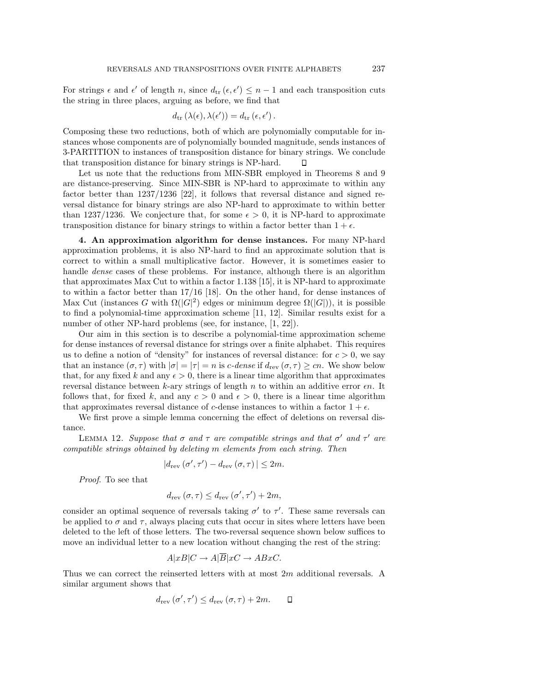For strings  $\epsilon$  and  $\epsilon'$  of length n, since  $d_{tr}(\epsilon, \epsilon') \leq n-1$  and each transposition cuts the string in three places, arguing as before, we find that

$$
d_{\text{tr}}\left(\lambda(\epsilon),\lambda(\epsilon')\right) = d_{\text{tr}}\left(\epsilon,\epsilon'\right).
$$

Composing these two reductions, both of which are polynomially computable for instances whose components are of polynomially bounded magnitude, sends instances of 3-PARTITION to instances of transposition distance for binary strings. We conclude that transposition distance for binary strings is NP-hard. П

Let us note that the reductions from MIN-SBR employed in Theorems 8 and 9 are distance-preserving. Since MIN-SBR is NP-hard to approximate to within any factor better than 1237/1236 [22], it follows that reversal distance and signed reversal distance for binary strings are also NP-hard to approximate to within better than 1237/1236. We conjecture that, for some  $\epsilon > 0$ , it is NP-hard to approximate transposition distance for binary strings to within a factor better than  $1 + \epsilon$ .

**4. An approximation algorithm for dense instances.** For many NP-hard approximation problems, it is also NP-hard to find an approximate solution that is correct to within a small multiplicative factor. However, it is sometimes easier to handle *dense* cases of these problems. For instance, although there is an algorithm that approximates Max Cut to within a factor 1.138 [15], it is NP-hard to approximate to within a factor better than 17/16 [18]. On the other hand, for dense instances of Max Cut (instances G with  $\Omega(|G|^2)$  edges or minimum degree  $\Omega(|G|)$ ), it is possible to find a polynomial-time approximation scheme [11, 12]. Similar results exist for a number of other NP-hard problems (see, for instance, [1, 22]).

Our aim in this section is to describe a polynomial-time approximation scheme for dense instances of reversal distance for strings over a finite alphabet. This requires us to define a notion of "density" for instances of reversal distance: for  $c > 0$ , we say that an instance  $(\sigma, \tau)$  with  $|\sigma| = |\tau| = n$  is c-dense if  $d_{rev}(\sigma, \tau) \ge cn$ . We show below that, for any fixed k and any  $\epsilon > 0$ , there is a linear time algorithm that approximates reversal distance between k-ary strings of length n to within an additive error  $\epsilon n$ . It follows that, for fixed k, and any  $c > 0$  and  $\epsilon > 0$ , there is a linear time algorithm that approximates reversal distance of c-dense instances to within a factor  $1 + \epsilon$ .

We first prove a simple lemma concerning the effect of deletions on reversal distance.

LEMMA 12. Suppose that  $\sigma$  and  $\tau$  are compatible strings and that  $\sigma'$  and  $\tau'$  are compatible strings obtained by deleting m elements from each string. Then

$$
|d_{\text{rev}}\left(\sigma',\tau'\right)-d_{\text{rev}}\left(\sigma,\tau\right)|\leq 2m.
$$

Proof. To see that

$$
d_{\text{rev}}\left(\sigma,\tau\right) \leq d_{\text{rev}}\left(\sigma',\tau'\right) + 2m,
$$

consider an optimal sequence of reversals taking  $\sigma'$  to  $\tau'$ . These same reversals can be applied to  $\sigma$  and  $\tau$ , always placing cuts that occur in sites where letters have been deleted to the left of those letters. The two-reversal sequence shown below suffices to move an individual letter to a new location without changing the rest of the string:

$$
A|xB|C \to A|\overline{B}|xC \to ABxC.
$$

Thus we can correct the reinserted letters with at most 2m additional reversals. A similar argument shows that

$$
d_{\text{rev}}\left(\sigma',\tau'\right) \leq d_{\text{rev}}\left(\sigma,\tau\right) + 2m. \qquad \Box
$$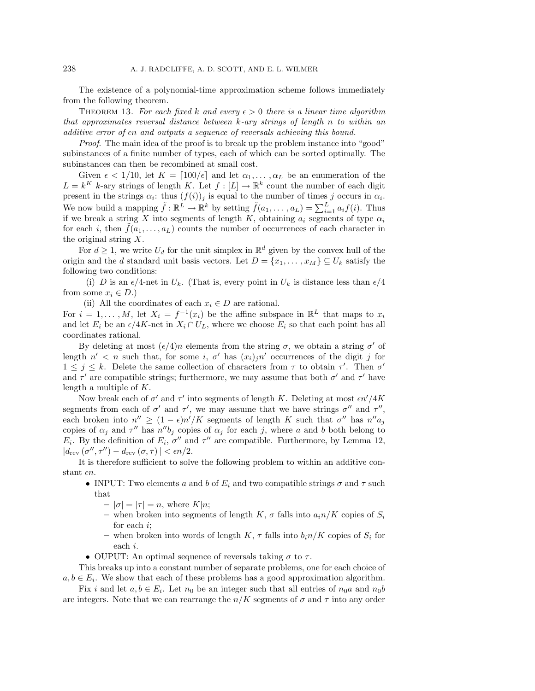The existence of a polynomial-time approximation scheme follows immediately from the following theorem.

THEOREM 13. For each fixed k and every  $\epsilon > 0$  there is a linear time algorithm that approximates reversal distance between  $k$ -ary strings of length n to within an additive error of  $\epsilon n$  and outputs a sequence of reversals achieving this bound.

Proof. The main idea of the proof is to break up the problem instance into "good" subinstances of a finite number of types, each of which can be sorted optimally. The subinstances can then be recombined at small cost.

Given  $\epsilon < 1/10$ , let  $K = \lceil 100/\epsilon \rceil$  and let  $\alpha_1, \ldots, \alpha_L$  be an enumeration of the  $L = k^K$  k-ary strings of length K. Let  $f : [L] \to \mathbb{R}^k$  count the number of each digit present in the strings  $\alpha_i$ : thus  $(f(i))_j$  is equal to the number of times j occurs in  $\alpha_i$ . We now build a mapping  $\tilde{f} : \mathbb{R}^L \to \mathbb{R}^k$  by setting  $\tilde{f}(a_1, \ldots, a_L) = \sum_{i=1}^L a_i f(i)$ . Thus if we break a string X into segments of length K, obtaining  $a_i$  segments of type  $\alpha_i$ for each i, then  $f(a_1,\ldots,a_L)$  counts the number of occurrences of each character in the original string X.

For  $d \geq 1$ , we write  $U_d$  for the unit simplex in  $\mathbb{R}^d$  given by the convex hull of the origin and the d standard unit basis vectors. Let  $D = \{x_1, \ldots, x_M\} \subseteq U_k$  satisfy the following two conditions:

(i) D is an  $\epsilon/4$ -net in  $U_k$ . (That is, every point in  $U_k$  is distance less than  $\epsilon/4$ from some  $x_i \in D$ .)

(ii) All the coordinates of each  $x_i \in D$  are rational.

For  $i = 1, \ldots, M$ , let  $X_i = f^{-1}(x_i)$  be the affine subspace in  $\mathbb{R}^L$  that maps to  $x_i$ and let  $E_i$  be an  $\epsilon/4K$ -net in  $X_i \cap U_L$ , where we choose  $E_i$  so that each point has all coordinates rational.

By deleting at most  $(\epsilon/4)n$  elements from the string  $\sigma$ , we obtain a string  $\sigma'$  of length  $n' < n$  such that, for some i,  $\sigma'$  has  $(x_i)_i n'$  occurrences of the digit j for  $1 \leq j \leq k$ . Delete the same collection of characters from  $\tau$  to obtain  $\tau'$ . Then  $\sigma'$ and  $\tau'$  are compatible strings; furthermore, we may assume that both  $\sigma'$  and  $\tau'$  have length a multiple of K.

Now break each of  $\sigma'$  and  $\tau'$  into segments of length K. Deleting at most  $\epsilon n'/4K$ segments from each of  $\sigma'$  and  $\tau'$ , we may assume that we have strings  $\sigma''$  and  $\tau''$ , each broken into  $n'' \ge (1 - \epsilon)n'/K$  segments of length K such that  $\sigma''$  has  $n''a_j$ copies of  $\alpha_j$  and  $\tau''$  has  $n''b_j$  copies of  $\alpha_j$  for each j, where a and b both belong to  $E_i$ . By the definition of  $E_i$ ,  $\sigma''$  and  $\tau''$  are compatible. Furthermore, by Lemma 12,  $|d_{\text{rev}}(\sigma'', \tau'') - d_{\text{rev}}(\sigma, \tau)| < \epsilon n/2.$ 

It is therefore sufficient to solve the following problem to within an additive constant  $\epsilon n$ .

- INPUT: Two elements a and b of  $E_i$  and two compatible strings  $\sigma$  and  $\tau$  such that
	- $-|\sigma|=|\tau|=n$ , where  $K|n$ ;
	- when broken into segments of length K,  $\sigma$  falls into  $a_i n/K$  copies of  $S_i$ for each i;
	- when broken into words of length  $K$ ,  $\tau$  falls into  $b_i n/K$  copies of  $S_i$  for each i.
- OUPUT: An optimal sequence of reversals taking  $\sigma$  to  $\tau$ .

This breaks up into a constant number of separate problems, one for each choice of  $a, b \in E_i$ . We show that each of these problems has a good approximation algorithm.

Fix i and let  $a, b \in E_i$ . Let  $n_0$  be an integer such that all entries of  $n_0a$  and  $n_0b$ are integers. Note that we can rearrange the  $n/K$  segments of  $\sigma$  and  $\tau$  into any order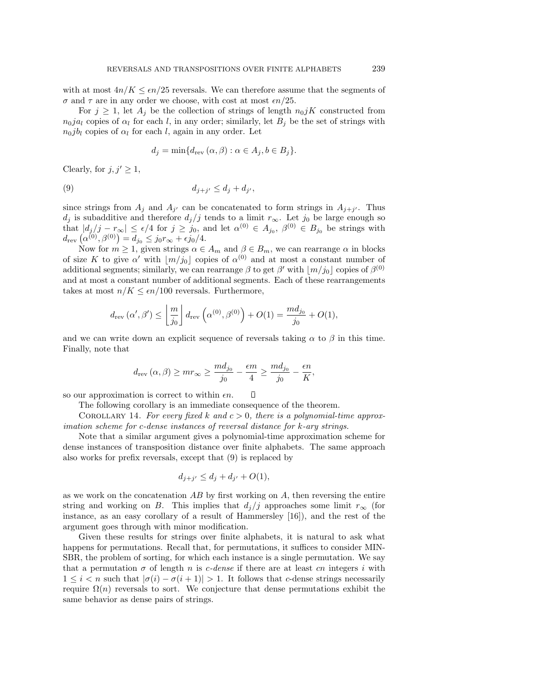with at most  $4n/K \leq \epsilon n/25$  reversals. We can therefore assume that the segments of  $\sigma$  and  $\tau$  are in any order we choose, with cost at most  $\epsilon n/25$ .

For  $j \geq 1$ , let  $A_j$  be the collection of strings of length  $n_0jK$  constructed from  $n_0ja_l$  copies of  $\alpha_l$  for each l, in any order; similarly, let  $B_j$  be the set of strings with  $n_0j_{l}$  copies of  $\alpha_l$  for each l, again in any order. Let

$$
d_j = \min\{d_{\text{rev}}(\alpha, \beta) : \alpha \in A_j, b \in B_j\}.
$$

Clearly, for  $j, j' \geq 1$ ,

$$
(9) \t\t d_{j+j'} \le d_j + d_{j'},
$$

since strings from  $A_j$  and  $A_{j'}$  can be concatenated to form strings in  $A_{j+j'}$ . Thus  $d_j$  is subadditive and therefore  $d_j/j$  tends to a limit  $r_\infty$ . Let  $j_0$  be large enough so that  $|d_j/j - r_\infty| \leq \epsilon/4$  for  $j \geq j_0$ , and let  $\alpha^{(0)} \in A_{j_0}, \beta^{(0)} \in B_{j_0}$  be strings with  $d_{\textrm{rev}}\left(\alpha^{(0)},\beta^{(0)}\right) = d_{j_0} \leq j_0 r_\infty + \epsilon j_0/4.$ 

Now for  $m \geq 1$ , given strings  $\alpha \in A_m$  and  $\beta \in B_m$ , we can rearrange  $\alpha$  in blocks of size K to give  $\alpha'$  with  $\lfloor m/j_0 \rfloor$  copies of  $\alpha^{(0)}$  and at most a constant number of additional segments; similarly, we can rearrange  $\beta$  to get  $\beta'$  with  $\lfloor m/j_0 \rfloor$  copies of  $\beta^{(0)}$ and at most a constant number of additional segments. Each of these rearrangements takes at most  $n/K \leq \epsilon n/100$  reversals. Furthermore,

$$
d_{\text{rev}}(\alpha', \beta') \le \left\lfloor \frac{m}{j_0} \right\rfloor d_{\text{rev}}\left(\alpha^{(0)}, \beta^{(0)}\right) + O(1) = \frac{md_{j_0}}{j_0} + O(1),
$$

and we can write down an explicit sequence of reversals taking  $\alpha$  to  $\beta$  in this time. Finally, note that

$$
d_{rev}(\alpha, \beta) \ge mr_{\infty} \ge \frac{md_{j_0}}{j_0} - \frac{\epsilon m}{4} \ge \frac{md_{j_0}}{j_0} - \frac{\epsilon n}{K},
$$

 $\Box$ so our approximation is correct to within  $\epsilon n$ .

The following corollary is an immediate consequence of the theorem.

COROLLARY 14. For every fixed k and  $c > 0$ , there is a polynomial-time approximation scheme for c-dense instances of reversal distance for k-ary strings.

Note that a similar argument gives a polynomial-time approximation scheme for dense instances of transposition distance over finite alphabets. The same approach also works for prefix reversals, except that (9) is replaced by

$$
d_{j+j'} \leq d_j + d_{j'} + O(1),
$$

as we work on the concatenation  $AB$  by first working on  $A$ , then reversing the entire string and working on B. This implies that  $d_i/j$  approaches some limit  $r_\infty$  (for instance, as an easy corollary of a result of Hammersley [16]), and the rest of the argument goes through with minor modification.

Given these results for strings over finite alphabets, it is natural to ask what happens for permutations. Recall that, for permutations, it suffices to consider MIN-SBR, the problem of sorting, for which each instance is a single permutation. We say that a permutation  $\sigma$  of length n is c-dense if there are at least cn integers i with  $1 \leq i < n$  such that  $|\sigma(i) - \sigma(i+1)| > 1$ . It follows that c-dense strings necessarily require  $\Omega(n)$  reversals to sort. We conjecture that dense permutations exhibit the same behavior as dense pairs of strings.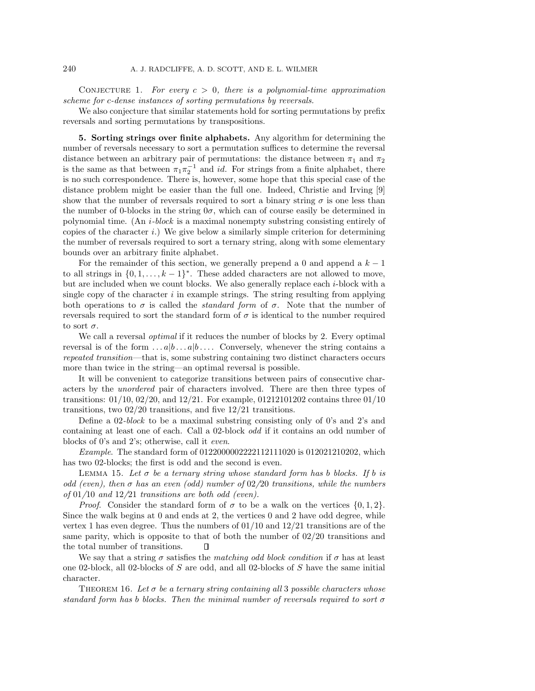CONJECTURE 1. For every  $c > 0$ , there is a polynomial-time approximation scheme for c-dense instances of sorting permutations by reversals.

We also conjecture that similar statements hold for sorting permutations by prefix reversals and sorting permutations by transpositions.

**5. Sorting strings over finite alphabets.** Any algorithm for determining the number of reversals necessary to sort a permutation suffices to determine the reversal distance between an arbitrary pair of permutations: the distance between  $\pi_1$  and  $\pi_2$ is the same as that between  $\pi_1 \pi_2^{-1}$  and *id*. For strings from a finite alphabet, there is no such correspondence. There is, however, some hope that this special case of the distance problem might be easier than the full one. Indeed, Christie and Irving [9] show that the number of reversals required to sort a binary string  $\sigma$  is one less than the number of 0-blocks in the string  $0\sigma$ , which can of course easily be determined in polynomial time. (An i-block is a maximal nonempty substring consisting entirely of copies of the character i.) We give below a similarly simple criterion for determining the number of reversals required to sort a ternary string, along with some elementary bounds over an arbitrary finite alphabet.

For the remainder of this section, we generally prepend a 0 and append a  $k-1$ to all strings in  $\{0, 1, \ldots, k-1\}^*$ . These added characters are not allowed to move, but are included when we count blocks. We also generally replace each i-block with a single copy of the character  $i$  in example strings. The string resulting from applying both operations to  $\sigma$  is called the *standard form* of  $\sigma$ . Note that the number of reversals required to sort the standard form of  $\sigma$  is identical to the number required to sort  $\sigma$ .

We call a reversal optimal if it reduces the number of blocks by 2. Every optimal reversal is of the form  $\dots a|b\dots a|b\dots$  Conversely, whenever the string contains a repeated transition—that is, some substring containing two distinct characters occurs more than twice in the string—an optimal reversal is possible.

It will be convenient to categorize transitions between pairs of consecutive characters by the unordered pair of characters involved. There are then three types of transitions:  $01/10$ ,  $02/20$ , and  $12/21$ . For example,  $01/212101202$  contains three  $01/10$ transitions, two 02/20 transitions, and five 12/21 transitions.

Define a 02-block to be a maximal substring consisting only of 0's and 2's and containing at least one of each. Call a 02-block odd if it contains an odd number of blocks of 0's and 2's; otherwise, call it even.

Example. The standard form of 0122000002222112111020 is 012021210202, which has two 02-blocks; the first is odd and the second is even.

LEMMA 15. Let  $\sigma$  be a ternary string whose standard form has b blocks. If b is odd (even), then  $\sigma$  has an even (odd) number of 02/20 transitions, while the numbers of  $01/10$  and  $12/21$  transitions are both odd (even).

*Proof.* Consider the standard form of  $\sigma$  to be a walk on the vertices  $\{0, 1, 2\}$ . Since the walk begins at 0 and ends at 2, the vertices 0 and 2 have odd degree, while vertex 1 has even degree. Thus the numbers of  $01/10$  and  $12/21$  transitions are of the same parity, which is opposite to that of both the number of 02/20 transitions and the total number of transitions.  $\Box$ 

We say that a string  $\sigma$  satisfies the matching odd block condition if  $\sigma$  has at least one 02-block, all 02-blocks of S are odd, and all 02-blocks of S have the same initial character.

THEOREM 16. Let  $\sigma$  be a ternary string containing all 3 possible characters whose standard form has b blocks. Then the minimal number of reversals required to sort  $\sigma$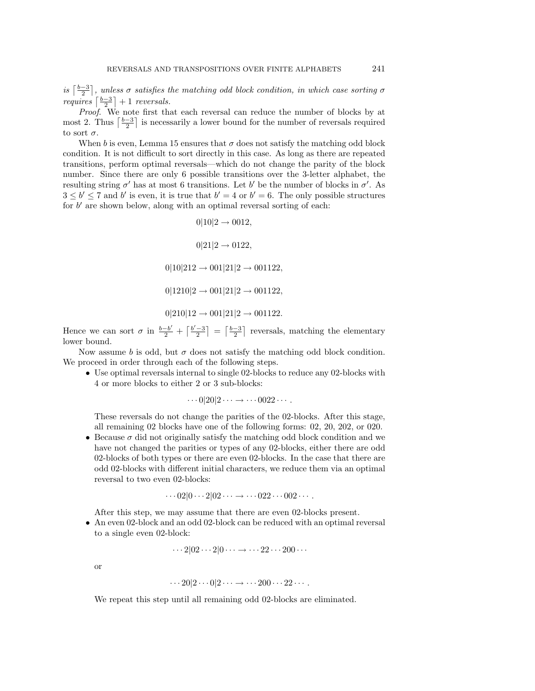is  $\lceil \frac{b-3}{2} \rceil$ , unless  $\sigma$  satisfies the matching odd block condition, in which case sorting  $\sigma$ requires  $\left\lceil \frac{b-3}{2} \right\rceil + 1$  reversals.

*Proof.* We note first that each reversal can reduce the number of blocks by at most 2. Thus  $\lceil \frac{b-3}{2} \rceil$  is necessarily a lower bound for the number of reversals required to sort  $\sigma$ .

When b is even, Lemma 15 ensures that  $\sigma$  does not satisfy the matching odd block condition. It is not difficult to sort directly in this case. As long as there are repeated transitions, perform optimal reversals—which do not change the parity of the block number. Since there are only 6 possible transitions over the 3-letter alphabet, the resulting string  $\sigma'$  has at most 6 transitions. Let b' be the number of blocks in  $\sigma'$ . As  $3 \leq b' \leq 7$  and b' is even, it is true that  $b' = 4$  or  $b' = 6$ . The only possible structures for  $b'$  are shown below, along with an optimal reversal sorting of each:

> $0|10|2 \to 0012$ ,  $0|21|2 \to 0122,$  $0|10|212 \rightarrow 001|21|2 \rightarrow 001122,$  $0|1210|2 \rightarrow 001|21|2 \rightarrow 001122,$  $0|210|12 \rightarrow 001|21|2 \rightarrow 001122.$

Hence we can sort  $\sigma$  in  $\frac{b-b'}{2} + \left\lceil \frac{b'-3}{2} \right\rceil = \left\lceil \frac{b-3}{2} \right\rceil$  reversals, matching the elementary lower bound.

Now assume b is odd, but  $\sigma$  does not satisfy the matching odd block condition. We proceed in order through each of the following steps.

• Use optimal reversals internal to single 02-blocks to reduce any 02-blocks with 4 or more blocks to either 2 or 3 sub-blocks:

$$
\cdots 0|20|2\cdots \rightarrow \cdots 0022\cdots.
$$

These reversals do not change the parities of the 02-blocks. After this stage, all remaining 02 blocks have one of the following forms: 02, 20, 202, or 020.

• Because  $\sigma$  did not originally satisfy the matching odd block condition and we have not changed the parities or types of any 02-blocks, either there are odd 02-blocks of both types or there are even 02-blocks. In the case that there are odd 02-blocks with different initial characters, we reduce them via an optimal reversal to two even 02-blocks:

$$
\cdots 02|0\cdots 2|02\cdots \rightarrow \cdots 022\cdots 002\cdots.
$$

After this step, we may assume that there are even 02-blocks present.

• An even 02-block and an odd 02-block can be reduced with an optimal reversal to a single even 02-block:

$$
\cdots 2|02\cdots 2|0\cdots \rightarrow \cdots 22\cdots 200\cdots
$$

or

$$
\cdots 20|2\cdots 0|2\cdots \rightarrow \cdots 200\cdots 22\cdots.
$$

We repeat this step until all remaining odd 02-blocks are eliminated.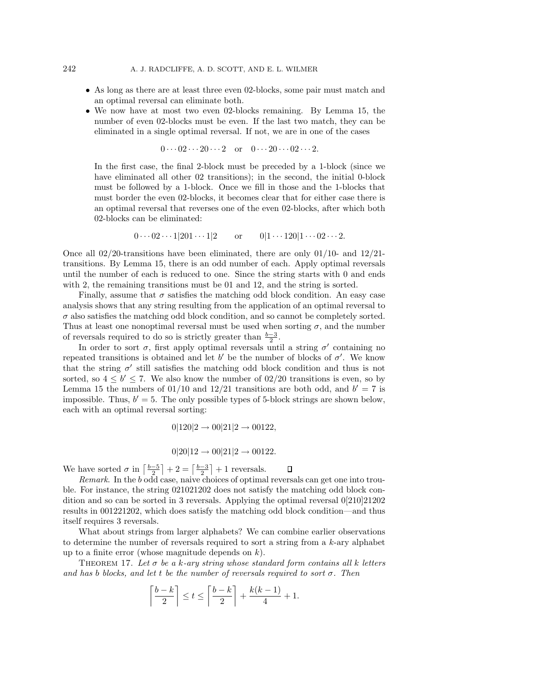- As long as there are at least three even 02-blocks, some pair must match and an optimal reversal can eliminate both.
- We now have at most two even 02-blocks remaining. By Lemma 15, the number of even 02-blocks must be even. If the last two match, they can be eliminated in a single optimal reversal. If not, we are in one of the cases

$$
0 \cdots 02 \cdots 20 \cdots 2 \quad \text{or} \quad 0 \cdots 20 \cdots 02 \cdots 2.
$$

In the first case, the final 2-block must be preceded by a 1-block (since we have eliminated all other 02 transitions); in the second, the initial 0-block must be followed by a 1-block. Once we fill in those and the 1-blocks that must border the even 02-blocks, it becomes clear that for either case there is an optimal reversal that reverses one of the even 02-blocks, after which both 02-blocks can be eliminated:

 $0 \cdots 02 \cdots 1|201 \cdots 1|2$  or  $0|1 \cdots 120|1 \cdots 02 \cdots 2$ .

Once all  $02/20$ -transitions have been eliminated, there are only  $01/10$ - and  $12/21$ transitions. By Lemma 15, there is an odd number of each. Apply optimal reversals until the number of each is reduced to one. Since the string starts with 0 and ends with 2, the remaining transitions must be 01 and 12, and the string is sorted.

Finally, assume that  $\sigma$  satisfies the matching odd block condition. An easy case analysis shows that any string resulting from the application of an optimal reversal to  $\sigma$  also satisfies the matching odd block condition, and so cannot be completely sorted. Thus at least one nonoptimal reversal must be used when sorting  $\sigma$ , and the number of reversals required to do so is strictly greater than  $\frac{b-3}{2}$ .

In order to sort  $\sigma$ , first apply optimal reversals until a string  $\sigma'$  containing no repeated transitions is obtained and let b' be the number of blocks of  $\sigma'$ . We know that the string  $\sigma'$  still satisfies the matching odd block condition and thus is not sorted, so  $4 \leq b' \leq 7$ . We also know the number of 02/20 transitions is even, so by Lemma 15 the numbers of  $01/10$  and  $12/21$  transitions are both odd, and  $b' = 7$  is impossible. Thus,  $b' = 5$ . The only possible types of 5-block strings are shown below, each with an optimal reversal sorting:

$$
0|120|2 \to 00|21|2 \to 00122,
$$

$$
0|20|12 \to 00|21|2 \to 00122.
$$

We have sorted  $\sigma$  in  $\left\lceil \frac{b-5}{2} \right\rceil + 2 = \left\lceil \frac{b-3}{2} \right\rceil + 1$  reversals.  $\Box$ 

Remark. In the b odd case, naive choices of optimal reversals can get one into trouble. For instance, the string 021021202 does not satisfy the matching odd block condition and so can be sorted in 3 reversals. Applying the optimal reversal 0[210]21202 results in 001221202, which does satisfy the matching odd block condition—and thus itself requires 3 reversals.

What about strings from larger alphabets? We can combine earlier observations to determine the number of reversals required to sort a string from a k-ary alphabet up to a finite error (whose magnitude depends on  $k$ ).

THEOREM 17. Let  $\sigma$  be a k-ary string whose standard form contains all k letters and has b blocks, and let t be the number of reversals required to sort  $\sigma$ . Then

$$
\left\lceil \frac{b-k}{2} \right\rceil \le t \le \left\lceil \frac{b-k}{2} \right\rceil + \frac{k(k-1)}{4} + 1.
$$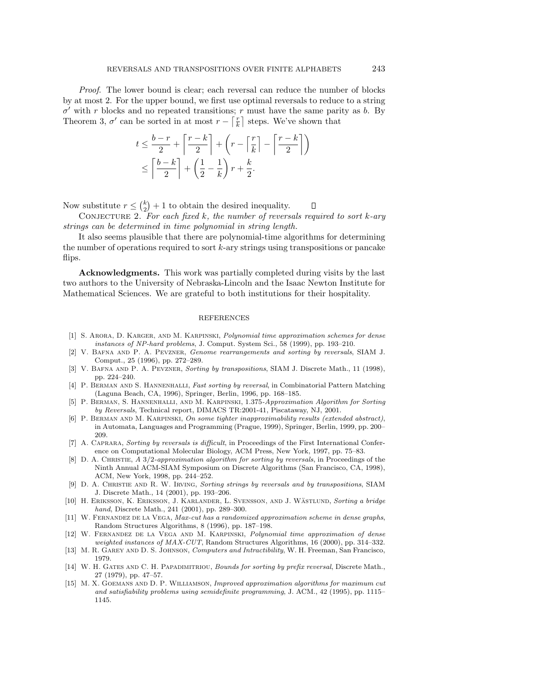Proof. The lower bound is clear; each reversal can reduce the number of blocks by at most 2. For the upper bound, we first use optimal reversals to reduce to a string  $\sigma'$  with r blocks and no repeated transitions; r must have the same parity as b. By Theorem 3,  $\sigma'$  can be sorted in at most  $r - \lceil \frac{r}{k} \rceil$  steps. We've shown that

$$
t \le \frac{b-r}{2} + \left\lceil \frac{r-k}{2} \right\rceil + \left(r - \left\lceil \frac{r}{k} \right\rceil - \left\lceil \frac{r-k}{2} \right\rceil \right)
$$
  

$$
\le \left\lceil \frac{b-k}{2} \right\rceil + \left(\frac{1}{2} - \frac{1}{k}\right)r + \frac{k}{2}.
$$

Now substitute  $r \leq {k \choose 2} + 1$  to obtain the desired inequality. Д

CONJECTURE 2. For each fixed  $k$ , the number of reversals required to sort  $k$ -ary strings can be determined in time polynomial in string length.

It also seems plausible that there are polynomial-time algorithms for determining the number of operations required to sort k-ary strings using transpositions or pancake flips.

**Acknowledgments.** This work was partially completed during visits by the last two authors to the University of Nebraska-Lincoln and the Isaac Newton Institute for Mathematical Sciences. We are grateful to both institutions for their hospitality.

## REFERENCES

- [1] S. Arora, D. Karger, and M. Karpinski, Polynomial time approximation schemes for dense instances of NP-hard problems, J. Comput. System Sci., 58 (1999), pp. 193–210.
- [2] V. Bafna and P. A. Pevzner, Genome rearrangements and sorting by reversals, SIAM J. Comput., 25 (1996), pp. 272–289.
- [3] V. BAFNA AND P. A. PEVZNER, Sorting by transpositions, SIAM J. Discrete Math., 11 (1998), pp. 224–240.
- [4] P. BERMAN AND S. HANNENHALLI, Fast sorting by reversal, in Combinatorial Pattern Matching (Laguna Beach, CA, 1996), Springer, Berlin, 1996, pp. 168–185.
- [5] P. Berman, S. Hannenhalli, and M. Karpinski, 1.375-Approximation Algorithm for Sorting by Reversals, Technical report, DIMACS TR:2001-41, Piscataway, NJ, 2001.
- [6] P. Berman and M. Karpinski, On some tighter inapproximability results (extended abstract), in Automata, Languages and Programming (Prague, 1999), Springer, Berlin, 1999, pp. 200– 209.
- [7] A. Caprara, Sorting by reversals is difficult, in Proceedings of the First International Conference on Computational Molecular Biology, ACM Press, New York, 1997, pp. 75–83.
- [8] D. A. CHRISTIE, A 3/2-approximation algorithm for sorting by reversals, in Proceedings of the Ninth Annual ACM-SIAM Symposium on Discrete Algorithms (San Francisco, CA, 1998), ACM, New York, 1998, pp. 244–252.
- [9] D. A. Christie and R. W. Irving, Sorting strings by reversals and by transpositions, SIAM J. Discrete Math., 14 (2001), pp. 193–206.
- [10] H. ERIKSSON, K. ERIKSSON, J. KARLANDER, L. SVENSSON, AND J. WÄSTLUND, Sorting a bridge hand, Discrete Math., 241 (2001), pp. 289–300.
- [11] W. FERNANDEZ DE LA VEGA, Max-cut has a randomized approximation scheme in dense graphs, Random Structures Algorithms, 8 (1996), pp. 187–198.
- [12] W. Fernandez de la Vega and M. Karpinski, Polynomial time approximation of dense weighted instances of MAX-CUT, Random Structures Algorithms, 16 (2000), pp. 314–332.
- [13] M. R. GAREY AND D. S. JOHNSON, Computers and Intractibility, W. H. Freeman, San Francisco, 1979.
- [14] W. H. GATES AND C. H. PAPADIMITRIOU, Bounds for sorting by prefix reversal, Discrete Math., 27 (1979), pp. 47–57.
- [15] M. X. Goemans and D. P. Williamson, Improved approximation algorithms for maximum cut and satisfiability problems using semidefinite programming, J. ACM., 42 (1995), pp. 1115– 1145.